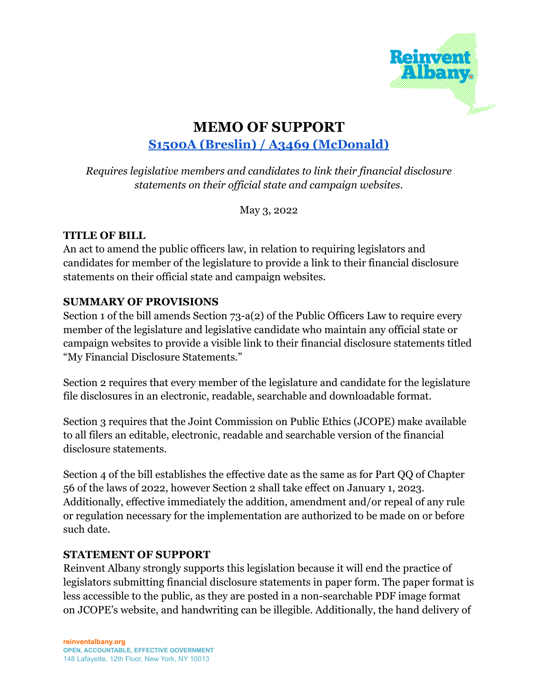

## **MEMO OF SUPPORT S1500A (Breslin) / A3469 [\(McDonald\)](https://www.nysenate.gov/legislation/bills/2021/s1500)**

*Requires legislative members and candidates to link their financial disclosure statements on their official state and campaign websites.*

May 3, 2022

## **TITLE OF BILL**

An act to amend the public officers law, in relation to requiring legislators and candidates for member of the legislature to provide a link to their financial disclosure statements on their official state and campaign websites.

## **SUMMARY OF PROVISIONS**

Section 1 of the bill amends Section 73-a(2) of the Public Officers Law to require every member of the legislature and legislative candidate who maintain any official state or campaign websites to provide a visible link to their financial disclosure statements titled "My Financial Disclosure Statements."

Section 2 requires that every member of the legislature and candidate for the legislature file disclosures in an electronic, readable, searchable and downloadable format.

Section 3 requires that the Joint Commission on Public Ethics (JCOPE) make available to all filers an editable, electronic, readable and searchable version of the financial disclosure statements.

Section 4 of the bill establishes the effective date as the same as for Part QQ of Chapter 56 of the laws of 2022, however Section 2 shall take effect on January 1, 2023. Additionally, effective immediately the addition, amendment and/or repeal of any rule or regulation necessary for the implementation are authorized to be made on or before such date.

## **STATEMENT OF SUPPORT**

Reinvent Albany strongly supports this legislation because it will end the practice of legislators submitting financial disclosure statements in paper form. The paper format is less accessible to the public, as they are posted in a non-searchable PDF image format on JCOPE's website, and handwriting can be illegible. Additionally, the hand delivery of